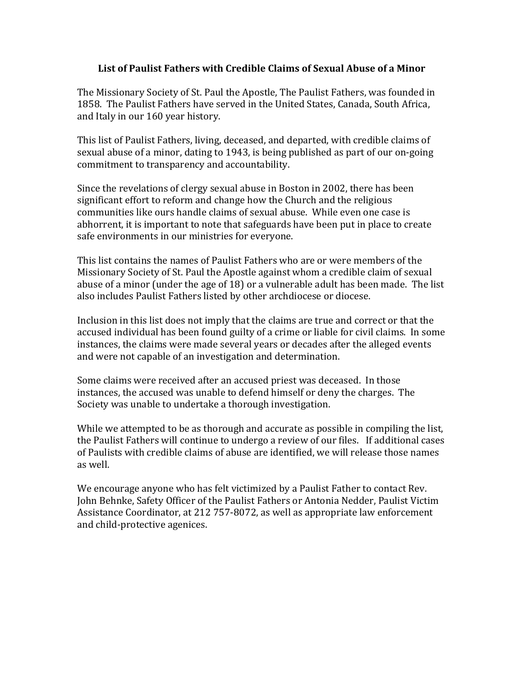# List of Paulist Fathers with Credible Claims of Sexual Abuse of a Minor

The Missionary Society of St. Paul the Apostle, The Paulist Fathers, was founded in 1858. The Paulist Fathers have served in the United States, Canada, South Africa, and Italy in our 160 year history.

This list of Paulist Fathers, living, deceased, and departed, with credible claims of sexual abuse of a minor, dating to 1943, is being published as part of our on-going commitment to transparency and accountability.

Since the revelations of clergy sexual abuse in Boston in 2002, there has been significant effort to reform and change how the Church and the religious communities like ours handle claims of sexual abuse. While even one case is abhorrent, it is important to note that safeguards have been put in place to create safe environments in our ministries for everyone.

This list contains the names of Paulist Fathers who are or were members of the Missionary Society of St. Paul the Apostle against whom a credible claim of sexual abuse of a minor (under the age of 18) or a vulnerable adult has been made. The list also includes Paulist Fathers listed by other archdiocese or diocese.

Inclusion in this list does not imply that the claims are true and correct or that the accused individual has been found guilty of a crime or liable for civil claims. In some instances, the claims were made several years or decades after the alleged events and were not capable of an investigation and determination.

Some claims were received after an accused priest was deceased. In those instances, the accused was unable to defend himself or deny the charges. The Society was unable to undertake a thorough investigation.

While we attempted to be as thorough and accurate as possible in compiling the list, the Paulist Fathers will continue to undergo a review of our files. If additional cases of Paulists with credible claims of abuse are identified, we will release those names as well.

We encourage anyone who has felt victimized by a Paulist Father to contact Rev. John Behnke, Safety Officer of the Paulist Fathers or Antonia Nedder, Paulist Victim Assistance Coordinator, at 212 757-8072, as well as appropriate law enforcement and child-protective agenices.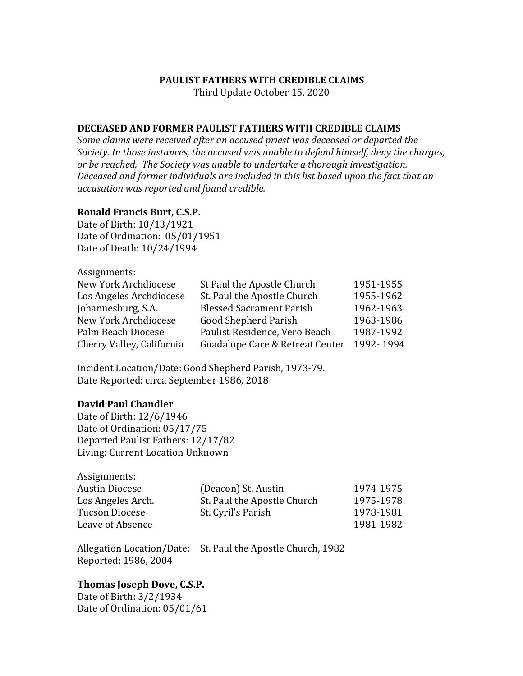### **PAULIST FATHERS WITH CREDIBLE CLAIMS**

Third Update October 15, 2020

### **DECEASED AND FORMER PAULIST FATHERS WITH CREDIBLE CLAIMS**

Some claims were received after an accused priest was deceased or departed the Society. In those instances, the accused was unable to defend himself, deny the charges, or be reached. The Society was unable to undertake a thorough investigation. Deceased and former individuals are included in this list based upon the fact that an *accusation was reported and found credible.* 

#### **Ronald Francis Burt, C.S.P.**

Date of Birth: 10/13/1921 Date of Ordination: 05/01/1951 Date of Death: 10/24/1994

Assignments: 

| New York Archdiocese      | St Paul the Apostle Church      | 1951-1955 |
|---------------------------|---------------------------------|-----------|
| Los Angeles Archdiocese   | St. Paul the Apostle Church     | 1955-1962 |
| Johannesburg, S.A.        | <b>Blessed Sacrament Parish</b> | 1962-1963 |
| New York Archdiocese      | <b>Good Shepherd Parish</b>     | 1963-1986 |
| Palm Beach Diocese        | Paulist Residence, Vero Beach   | 1987-1992 |
| Cherry Valley, California | Guadalupe Care & Retreat Center | 1992-1994 |

Incident Location/Date: Good Shepherd Parish, 1973-79. Date Reported: circa September 1986, 2018

#### **David Paul Chandler**

Date of Birth: 12/6/1946 Date of Ordination: 05/17/75 Departed Paulist Fathers: 12/17/82 Living: Current Location Unknown

| Assignments:          |                             |           |
|-----------------------|-----------------------------|-----------|
| <b>Austin Diocese</b> | (Deacon) St. Austin         | 1974-1975 |
| Los Angeles Arch.     | St. Paul the Apostle Church | 1975-1978 |
| <b>Tucson Diocese</b> | St. Cyril's Parish          | 1978-1981 |
| Leave of Absence      |                             | 1981-1982 |

Allegation Location/Date: St. Paul the Apostle Church, 1982 Reported: 1986, 2004

# **Thomas Joseph Dove, C.S.P.**

Date of Birth: 3/2/1934 Date of Ordination: 05/01/61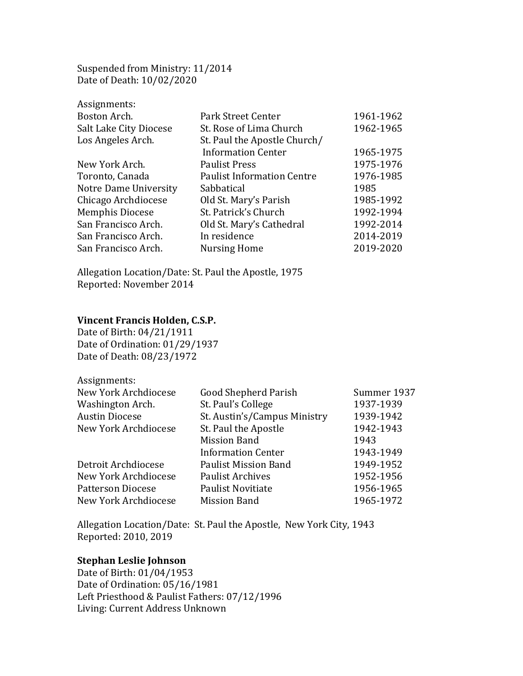Suspended from Ministry: 11/2014 Date of Death: 10/02/2020

| Assignments:           |                                   |           |
|------------------------|-----------------------------------|-----------|
| Boston Arch.           | Park Street Center                | 1961-1962 |
| Salt Lake City Diocese | St. Rose of Lima Church           | 1962-1965 |
| Los Angeles Arch.      | St. Paul the Apostle Church/      |           |
|                        | <b>Information Center</b>         | 1965-1975 |
| New York Arch.         | <b>Paulist Press</b>              | 1975-1976 |
| Toronto, Canada        | <b>Paulist Information Centre</b> | 1976-1985 |
| Notre Dame University  | Sabbatical                        | 1985      |
| Chicago Archdiocese    | Old St. Mary's Parish             | 1985-1992 |
| <b>Memphis Diocese</b> | St. Patrick's Church              | 1992-1994 |
| San Francisco Arch.    | Old St. Mary's Cathedral          | 1992-2014 |
| San Francisco Arch.    | In residence                      | 2014-2019 |
| San Francisco Arch.    | <b>Nursing Home</b>               | 2019-2020 |

Allegation Location/Date: St. Paul the Apostle, 1975 Reported: November 2014 

# **Vincent Francis Holden, C.S.P.**

Date of Birth: 04/21/1911 Date of Ordination: 01/29/1937 Date of Death: 08/23/1972

| Assignments:                |                              |             |
|-----------------------------|------------------------------|-------------|
| New York Archdiocese        | <b>Good Shepherd Parish</b>  | Summer 1937 |
| Washington Arch.            | St. Paul's College           | 1937-1939   |
| <b>Austin Diocese</b>       | St. Austin's/Campus Ministry | 1939-1942   |
| <b>New York Archdiocese</b> | St. Paul the Apostle         | 1942-1943   |
|                             | <b>Mission Band</b>          | 1943        |
|                             | <b>Information Center</b>    | 1943-1949   |
| Detroit Archdiocese         | <b>Paulist Mission Band</b>  | 1949-1952   |
| New York Archdiocese        | <b>Paulist Archives</b>      | 1952-1956   |
| <b>Patterson Diocese</b>    | <b>Paulist Novitiate</b>     | 1956-1965   |
| New York Archdiocese        | <b>Mission Band</b>          | 1965-1972   |

Allegation Location/Date: St. Paul the Apostle, New York City, 1943 Reported: 2010, 2019

### **Stephan Leslie Johnson**

Date of Birth: 01/04/1953 Date of Ordination: 05/16/1981 Left Priesthood & Paulist Fathers: 07/12/1996 Living: Current Address Unknown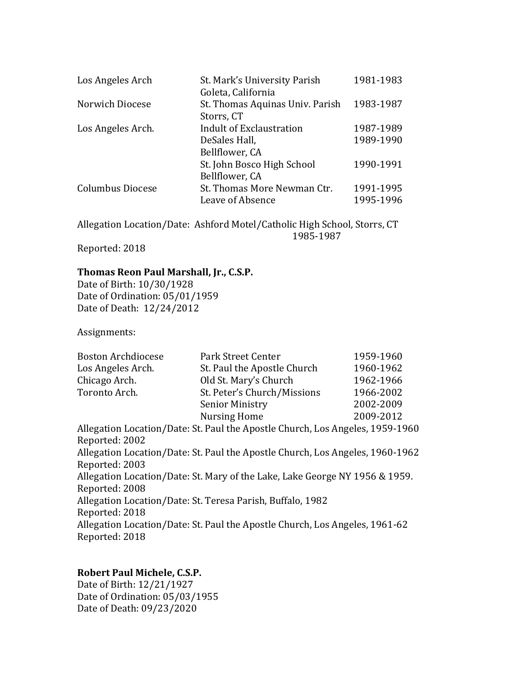| Los Angeles Arch        | St. Mark's University Parish<br>Goleta, California | 1981-1983 |
|-------------------------|----------------------------------------------------|-----------|
| Norwich Diocese         | St. Thomas Aquinas Univ. Parish<br>Storrs, CT      | 1983-1987 |
| Los Angeles Arch.       | <b>Indult of Exclaustration</b>                    | 1987-1989 |
|                         | DeSales Hall,                                      | 1989-1990 |
|                         | Bellflower, CA                                     |           |
|                         | St. John Bosco High School                         | 1990-1991 |
|                         | Bellflower, CA                                     |           |
| <b>Columbus Diocese</b> | St. Thomas More Newman Ctr.                        | 1991-1995 |
|                         | Leave of Absence                                   | 1995-1996 |

Allegation Location/Date: Ashford Motel/Catholic High School, Storrs, CT 1985-1987

Reported: 2018

# Thomas Reon Paul Marshall, Jr., C.S.P.

Date of Birth: 10/30/1928 Date of Ordination: 05/01/1959 Date of Death: 12/24/2012

Assignments: 

| <b>Boston Archdiocese</b> | Park Street Center          | 1959-1960 |
|---------------------------|-----------------------------|-----------|
| Los Angeles Arch.         | St. Paul the Apostle Church | 1960-1962 |
| Chicago Arch.             | Old St. Mary's Church       | 1962-1966 |
| Toronto Arch.             | St. Peter's Church/Missions | 1966-2002 |
|                           | <b>Senior Ministry</b>      | 2002-2009 |
|                           | Nursing Home                | 2009-2012 |

Allegation Location/Date: St. Paul the Apostle Church, Los Angeles, 1959-1960 Reported: 2002 Allegation Location/Date: St. Paul the Apostle Church, Los Angeles, 1960-1962 Reported: 2003 Allegation Location/Date: St. Mary of the Lake, Lake George NY 1956 & 1959. Reported: 2008 Allegation Location/Date: St. Teresa Parish, Buffalo, 1982 Reported: 2018 Allegation Location/Date: St. Paul the Apostle Church, Los Angeles, 1961-62 Reported: 2018

# **Robert Paul Michele, C.S.P.**

Date of Birth: 12/21/1927 Date of Ordination: 05/03/1955 Date of Death: 09/23/2020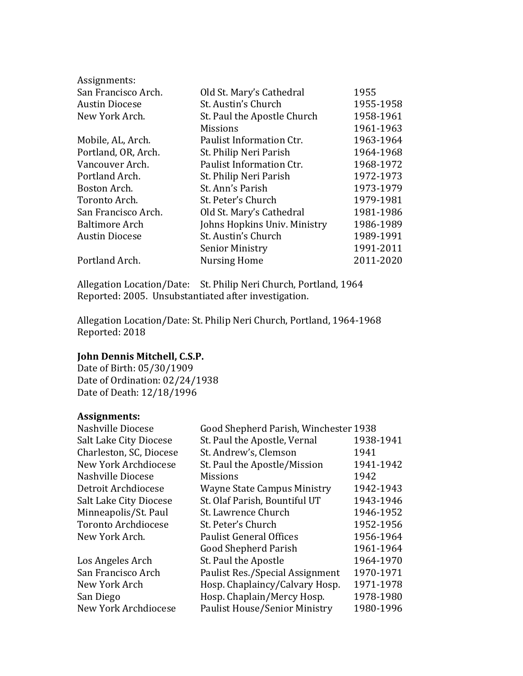| Assignments:          |                              |           |
|-----------------------|------------------------------|-----------|
| San Francisco Arch.   | Old St. Mary's Cathedral     | 1955      |
| <b>Austin Diocese</b> | St. Austin's Church          | 1955-1958 |
| New York Arch.        | St. Paul the Apostle Church  | 1958-1961 |
|                       | <b>Missions</b>              | 1961-1963 |
| Mobile, AL, Arch.     | Paulist Information Ctr.     | 1963-1964 |
| Portland, OR, Arch.   | St. Philip Neri Parish       | 1964-1968 |
| Vancouver Arch.       | Paulist Information Ctr.     | 1968-1972 |
| Portland Arch.        | St. Philip Neri Parish       | 1972-1973 |
| Boston Arch.          | St. Ann's Parish             | 1973-1979 |
| Toronto Arch.         | St. Peter's Church           | 1979-1981 |
| San Francisco Arch.   | Old St. Mary's Cathedral     | 1981-1986 |
| <b>Baltimore Arch</b> | Johns Hopkins Univ. Ministry | 1986-1989 |
| <b>Austin Diocese</b> | St. Austin's Church          | 1989-1991 |
|                       | <b>Senior Ministry</b>       | 1991-2011 |
| Portland Arch.        | <b>Nursing Home</b>          | 2011-2020 |

Allegation Location/Date: St. Philip Neri Church, Portland, 1964 Reported: 2005. Unsubstantiated after investigation.

Allegation Location/Date: St. Philip Neri Church, Portland, 1964-1968 Reported: 2018

# **John Dennis Mitchell, C.S.P.**

Date of Birth: 05/30/1909 Date of Ordination: 02/24/1938 Date of Death: 12/18/1996

# **Assignments:**

| Nashville Diocese       | Good Shepherd Parish, Winchester 1938 |           |
|-------------------------|---------------------------------------|-----------|
| Salt Lake City Diocese  | St. Paul the Apostle, Vernal          | 1938-1941 |
| Charleston, SC, Diocese | St. Andrew's, Clemson                 | 1941      |
| New York Archdiocese    | St. Paul the Apostle/Mission          | 1941-1942 |
| Nashville Diocese       | <b>Missions</b>                       | 1942      |
| Detroit Archdiocese     | <b>Wayne State Campus Ministry</b>    | 1942-1943 |
| Salt Lake City Diocese  | St. Olaf Parish, Bountiful UT         | 1943-1946 |
| Minneapolis/St. Paul    | St. Lawrence Church                   | 1946-1952 |
| Toronto Archdiocese     | St. Peter's Church                    | 1952-1956 |
| New York Arch.          | <b>Paulist General Offices</b>        | 1956-1964 |
|                         | <b>Good Shepherd Parish</b>           | 1961-1964 |
| Los Angeles Arch        | St. Paul the Apostle                  | 1964-1970 |
| San Francisco Arch      | Paulist Res./Special Assignment       | 1970-1971 |
| New York Arch           | Hosp. Chaplaincy/Calvary Hosp.        | 1971-1978 |
| San Diego               | Hosp. Chaplain/Mercy Hosp.            | 1978-1980 |
| New York Archdiocese    | <b>Paulist House/Senior Ministry</b>  | 1980-1996 |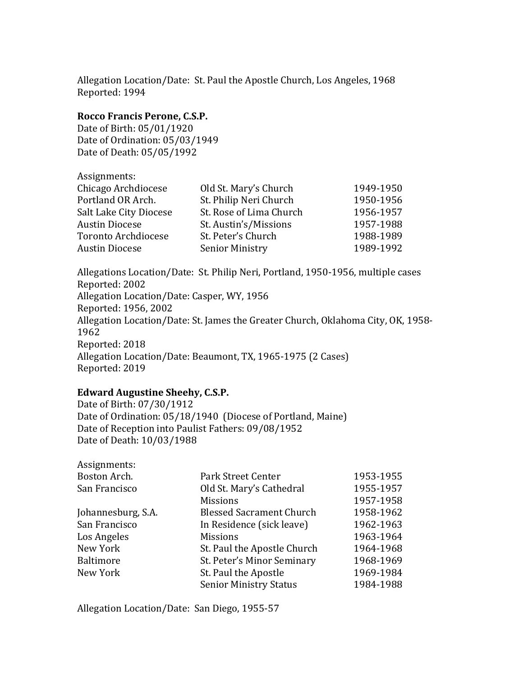Allegation Location/Date: St. Paul the Apostle Church, Los Angeles, 1968 Reported: 1994

# Rocco Francis Perone, C.S.P.

Date of Birth: 05/01/1920 Date of Ordination: 05/03/1949 Date of Death: 05/05/1992

| Old St. Mary's Church   | 1949-1950                                        |
|-------------------------|--------------------------------------------------|
|                         | 1950-1956                                        |
| St. Rose of Lima Church | 1956-1957                                        |
| St. Austin's/Missions   | 1957-1988                                        |
| St. Peter's Church      | 1988-1989                                        |
|                         | 1989-1992                                        |
|                         | St. Philip Neri Church<br><b>Senior Ministry</b> |

Allegations Location/Date: St. Philip Neri, Portland, 1950-1956, multiple cases Reported: 2002 Allegation Location/Date: Casper, WY, 1956 Reported: 1956, 2002 Allegation Location/Date: St. James the Greater Church, Oklahoma City, OK, 1958-1962 Reported: 2018 Allegation Location/Date: Beaumont, TX, 1965-1975 (2 Cases) Reported: 2019

# Edward Augustine Sheehy, C.S.P.

Date of Birth: 07/30/1912 Date of Ordination: 05/18/1940 (Diocese of Portland, Maine) Date of Reception into Paulist Fathers: 09/08/1952 Date of Death: 10/03/1988

| Assignments:       |                                 |           |
|--------------------|---------------------------------|-----------|
| Boston Arch.       | Park Street Center              | 1953-1955 |
| San Francisco      | Old St. Mary's Cathedral        | 1955-1957 |
|                    | <b>Missions</b>                 | 1957-1958 |
| Johannesburg, S.A. | <b>Blessed Sacrament Church</b> | 1958-1962 |
| San Francisco      | In Residence (sick leave)       | 1962-1963 |
| Los Angeles        | <b>Missions</b>                 | 1963-1964 |
| New York           | St. Paul the Apostle Church     | 1964-1968 |
| <b>Baltimore</b>   | St. Peter's Minor Seminary      | 1968-1969 |
| New York           | St. Paul the Apostle            | 1969-1984 |
|                    | <b>Senior Ministry Status</b>   | 1984-1988 |
|                    |                                 |           |

Allegation Location/Date: San Diego, 1955-57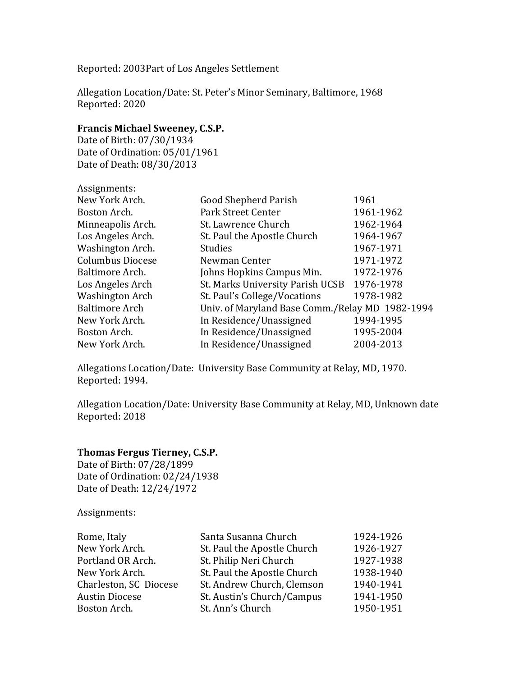Reported: 2003Part of Los Angeles Settlement

Allegation Location/Date: St. Peter's Minor Seminary, Baltimore, 1968 Reported: 2020

# **Francis Michael Sweeney, C.S.P.**

Date of Birth: 07/30/1934 Date of Ordination: 05/01/1961 Date of Death: 08/30/2013

| Assignments:            |                                                 |           |
|-------------------------|-------------------------------------------------|-----------|
| New York Arch.          | Good Shepherd Parish                            | 1961      |
| Boston Arch.            | <b>Park Street Center</b>                       | 1961-1962 |
| Minneapolis Arch.       | St. Lawrence Church                             | 1962-1964 |
| Los Angeles Arch.       | St. Paul the Apostle Church                     | 1964-1967 |
| Washington Arch.        | <b>Studies</b>                                  | 1967-1971 |
| <b>Columbus Diocese</b> | Newman Center                                   | 1971-1972 |
| Baltimore Arch.         | Johns Hopkins Campus Min.                       | 1972-1976 |
| Los Angeles Arch        | St. Marks University Parish UCSB                | 1976-1978 |
| <b>Washington Arch</b>  | St. Paul's College/Vocations                    | 1978-1982 |
| <b>Baltimore Arch</b>   | Univ. of Maryland Base Comm./Relay MD 1982-1994 |           |
| New York Arch.          | In Residence/Unassigned                         | 1994-1995 |
| Boston Arch.            | In Residence/Unassigned                         | 1995-2004 |
| New York Arch.          | In Residence/Unassigned                         | 2004-2013 |

Allegations Location/Date: University Base Community at Relay, MD, 1970. Reported: 1994.

Allegation Location/Date: University Base Community at Relay, MD, Unknown date Reported: 2018

# **Thomas Fergus Tierney, C.S.P.**

Date of Birth: 07/28/1899 Date of Ordination: 02/24/1938 Date of Death: 12/24/1972

Assignments: 

| Rome, Italy            | Santa Susanna Church        | 1924-1926 |
|------------------------|-----------------------------|-----------|
| New York Arch.         | St. Paul the Apostle Church | 1926-1927 |
| Portland OR Arch.      | St. Philip Neri Church      | 1927-1938 |
| New York Arch.         | St. Paul the Apostle Church | 1938-1940 |
| Charleston, SC Diocese | St. Andrew Church, Clemson  | 1940-1941 |
| <b>Austin Diocese</b>  | St. Austin's Church/Campus  | 1941-1950 |
| Boston Arch.           | St. Ann's Church            | 1950-1951 |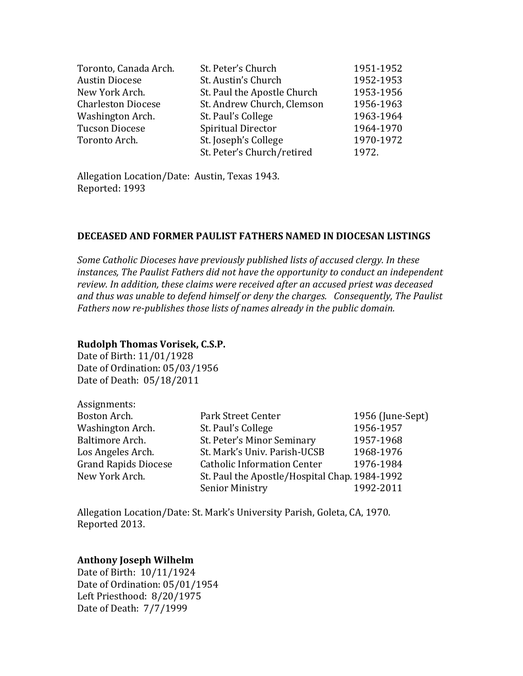| St. Peter's Church          | 1951-1952 |
|-----------------------------|-----------|
| St. Austin's Church         | 1952-1953 |
| St. Paul the Apostle Church | 1953-1956 |
| St. Andrew Church, Clemson  | 1956-1963 |
| St. Paul's College          | 1963-1964 |
| <b>Spiritual Director</b>   | 1964-1970 |
| St. Joseph's College        | 1970-1972 |
| St. Peter's Church/retired  | 1972.     |
|                             |           |

Allegation Location/Date: Austin, Texas 1943. Reported: 1993

### **DECEASED AND FORMER PAULIST FATHERS NAMED IN DIOCESAN LISTINGS**

*Some Catholic Dioceses have previously published lists of accused clergy. In these* instances, The Paulist Fathers did not have the opportunity to conduct an independent review. In addition, these claims were received after an accused priest was deceased and thus was unable to defend himself or deny the charges. Consequently, The Paulist Fathers now re-publishes those lists of names already in the public domain.

# **Rudolph Thomas Vorisek, C.S.P.**

Date of Birth: 11/01/1928 Date of Ordination: 05/03/1956 Date of Death: 05/18/2011

| Assignments:                |                                               |                  |
|-----------------------------|-----------------------------------------------|------------------|
| Boston Arch.                | Park Street Center                            | 1956 (June-Sept) |
| Washington Arch.            | St. Paul's College                            | 1956-1957        |
| Baltimore Arch.             | St. Peter's Minor Seminary                    | 1957-1968        |
| Los Angeles Arch.           | St. Mark's Univ. Parish-UCSB                  | 1968-1976        |
| <b>Grand Rapids Diocese</b> | <b>Catholic Information Center</b>            | 1976-1984        |
| New York Arch.              | St. Paul the Apostle/Hospital Chap. 1984-1992 |                  |
|                             | <b>Senior Ministry</b>                        | 1992-2011        |

Allegation Location/Date: St. Mark's University Parish, Goleta, CA, 1970. Reported 2013. 

# **Anthony Joseph Wilhelm**

Date of Birth: 10/11/1924 Date of Ordination: 05/01/1954 Left Priesthood: 8/20/1975 Date of Death: 7/7/1999